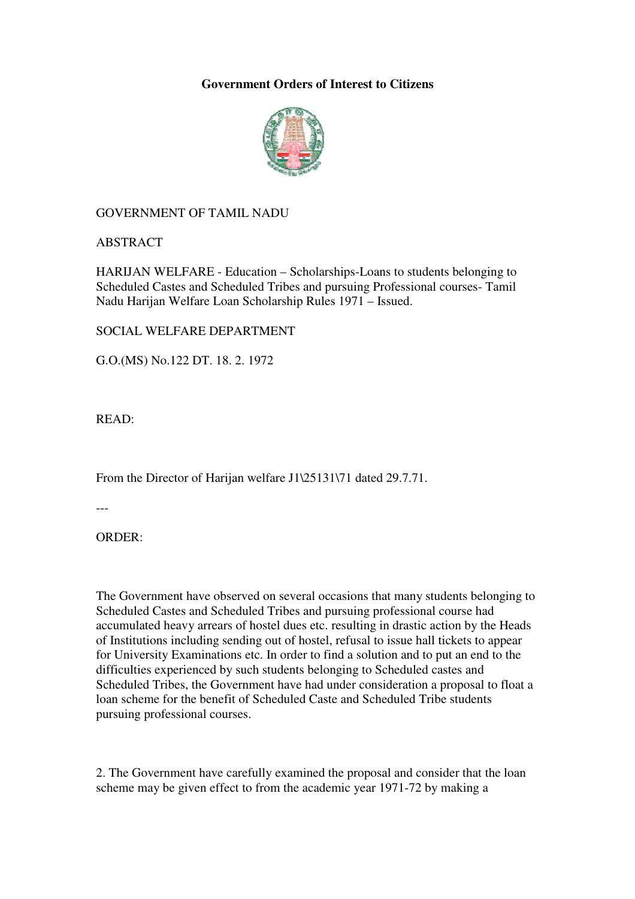# **Government Orders of Interest to Citizens**



# GOVERNMENT OF TAMIL NADU

ABSTRACT

HARIJAN WELFARE - Education – Scholarships-Loans to students belonging to Scheduled Castes and Scheduled Tribes and pursuing Professional courses- Tamil Nadu Harijan Welfare Loan Scholarship Rules 1971 – Issued.

## SOCIAL WELFARE DEPARTMENT

G.O.(MS) No.122 DT. 18. 2. 1972

READ:

From the Director of Harijan welfare J1\25131\71 dated 29.7.71.

---

ORDER:

The Government have observed on several occasions that many students belonging to Scheduled Castes and Scheduled Tribes and pursuing professional course had accumulated heavy arrears of hostel dues etc. resulting in drastic action by the Heads of Institutions including sending out of hostel, refusal to issue hall tickets to appear for University Examinations etc. In order to find a solution and to put an end to the difficulties experienced by such students belonging to Scheduled castes and Scheduled Tribes, the Government have had under consideration a proposal to float a loan scheme for the benefit of Scheduled Caste and Scheduled Tribe students pursuing professional courses.

2. The Government have carefully examined the proposal and consider that the loan scheme may be given effect to from the academic year 1971-72 by making a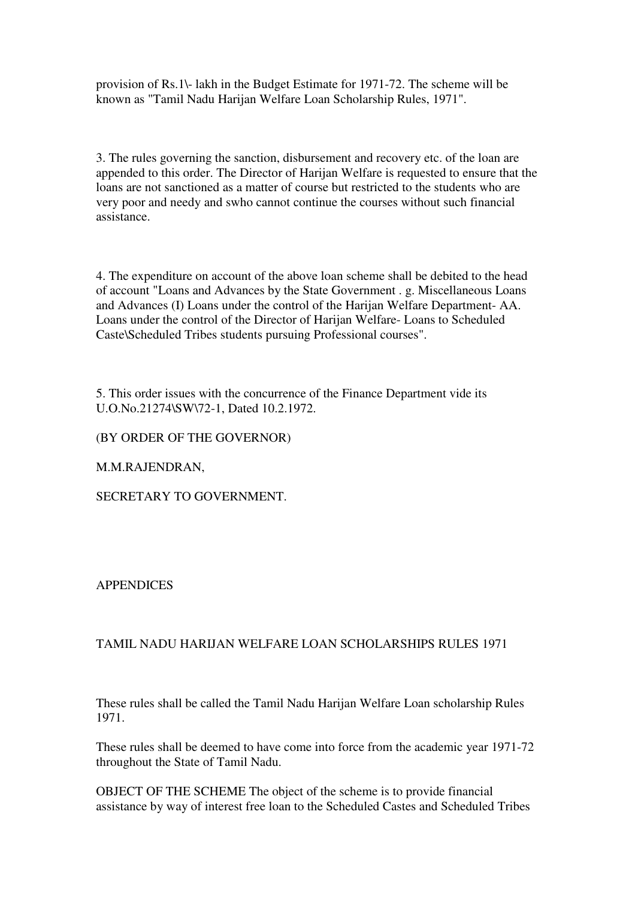provision of Rs.1\- lakh in the Budget Estimate for 1971-72. The scheme will be known as "Tamil Nadu Harijan Welfare Loan Scholarship Rules, 1971".

3. The rules governing the sanction, disbursement and recovery etc. of the loan are appended to this order. The Director of Harijan Welfare is requested to ensure that the loans are not sanctioned as a matter of course but restricted to the students who are very poor and needy and swho cannot continue the courses without such financial assistance.

4. The expenditure on account of the above loan scheme shall be debited to the head of account "Loans and Advances by the State Government . g. Miscellaneous Loans and Advances (I) Loans under the control of the Harijan Welfare Department- AA. Loans under the control of the Director of Harijan Welfare- Loans to Scheduled Caste\Scheduled Tribes students pursuing Professional courses".

5. This order issues with the concurrence of the Finance Department vide its U.O.No.21274\SW\72-1, Dated 10.2.1972.

(BY ORDER OF THE GOVERNOR)

M.M.RAJENDRAN,

SECRETARY TO GOVERNMENT.

**APPENDICES** 

## TAMIL NADU HARIJAN WELFARE LOAN SCHOLARSHIPS RULES 1971

These rules shall be called the Tamil Nadu Harijan Welfare Loan scholarship Rules 1971.

These rules shall be deemed to have come into force from the academic year 1971-72 throughout the State of Tamil Nadu.

OBJECT OF THE SCHEME The object of the scheme is to provide financial assistance by way of interest free loan to the Scheduled Castes and Scheduled Tribes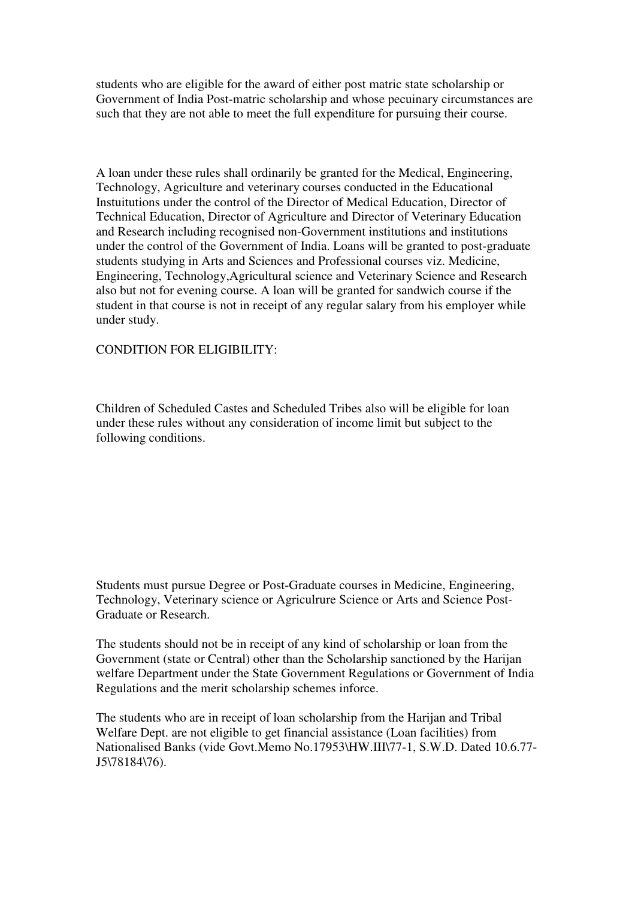students who are eligible for the award of either post matric state scholarship or Government of India Post-matric scholarship and whose pecuinary circumstances are such that they are not able to meet the full expenditure for pursuing their course.

A loan under these rules shall ordinarily be granted for the Medical, Engineering, Technology, Agriculture and veterinary courses conducted in the Educational Instuitutions under the control of the Director of Medical Education, Director of Technical Education, Director of Agriculture and Director of Veterinary Education and Research including recognised non-Government institutions and institutions under the control of the Government of India. Loans will be granted to post-graduate students studying in Arts and Sciences and Professional courses viz. Medicine, Engineering, Technology,Agricultural science and Veterinary Science and Research also but not for evening course. A loan will be granted for sandwich course if the student in that course is not in receipt of any regular salary from his employer while under study.

## CONDITION FOR ELIGIBILITY:

Children of Scheduled Castes and Scheduled Tribes also will be eligible for loan under these rules without any consideration of income limit but subject to the following conditions.

Students must pursue Degree or Post-Graduate courses in Medicine, Engineering, Technology, Veterinary science or Agriculrure Science or Arts and Science Post-Graduate or Research.

The students should not be in receipt of any kind of scholarship or loan from the Government (state or Central) other than the Scholarship sanctioned by the Harijan welfare Department under the State Government Regulations or Government of India Regulations and the merit scholarship schemes inforce.

The students who are in receipt of loan scholarship from the Harijan and Tribal Welfare Dept. are not eligible to get financial assistance (Loan facilities) from Nationalised Banks (vide Govt.Memo No.17953\HW.III\77-1, S.W.D. Dated 10.6.77- J5\78184\76).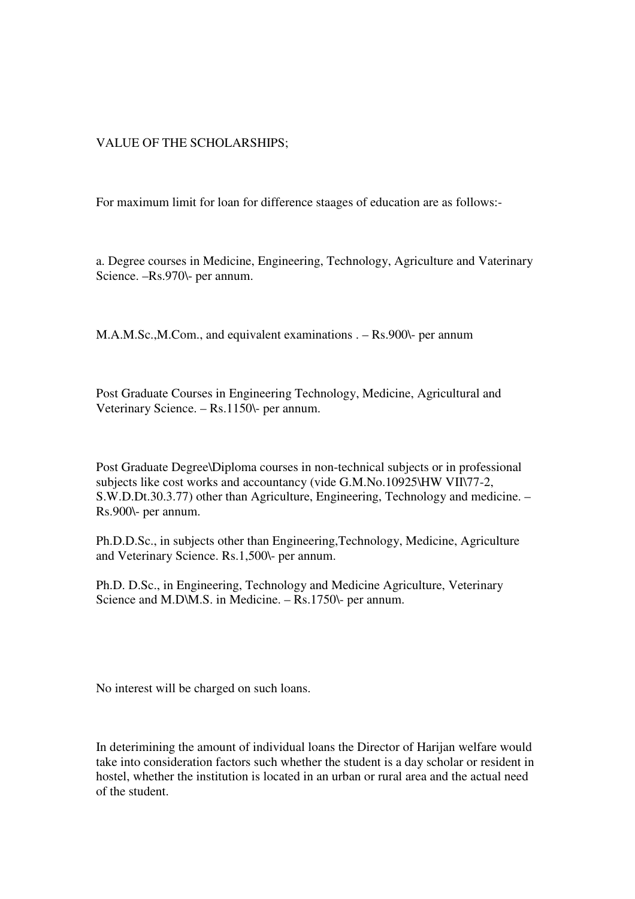# VALUE OF THE SCHOLARSHIPS;

For maximum limit for loan for difference staages of education are as follows:-

a. Degree courses in Medicine, Engineering, Technology, Agriculture and Vaterinary Science. –Rs.970\- per annum.

M.A.M.Sc.,M.Com., and equivalent examinations . – Rs.900\- per annum

Post Graduate Courses in Engineering Technology, Medicine, Agricultural and Veterinary Science. – Rs.1150\- per annum.

Post Graduate Degree\Diploma courses in non-technical subjects or in professional subjects like cost works and accountancy (vide G.M.No.10925\HW VII\77-2, S.W.D.Dt.30.3.77) other than Agriculture, Engineering, Technology and medicine. – Rs.900\- per annum.

Ph.D.D.Sc., in subjects other than Engineering,Technology, Medicine, Agriculture and Veterinary Science. Rs.1,500\- per annum.

Ph.D. D.Sc., in Engineering, Technology and Medicine Agriculture, Veterinary Science and M.D\M.S. in Medicine. – Rs.1750\- per annum.

No interest will be charged on such loans.

In deterimining the amount of individual loans the Director of Harijan welfare would take into consideration factors such whether the student is a day scholar or resident in hostel, whether the institution is located in an urban or rural area and the actual need of the student.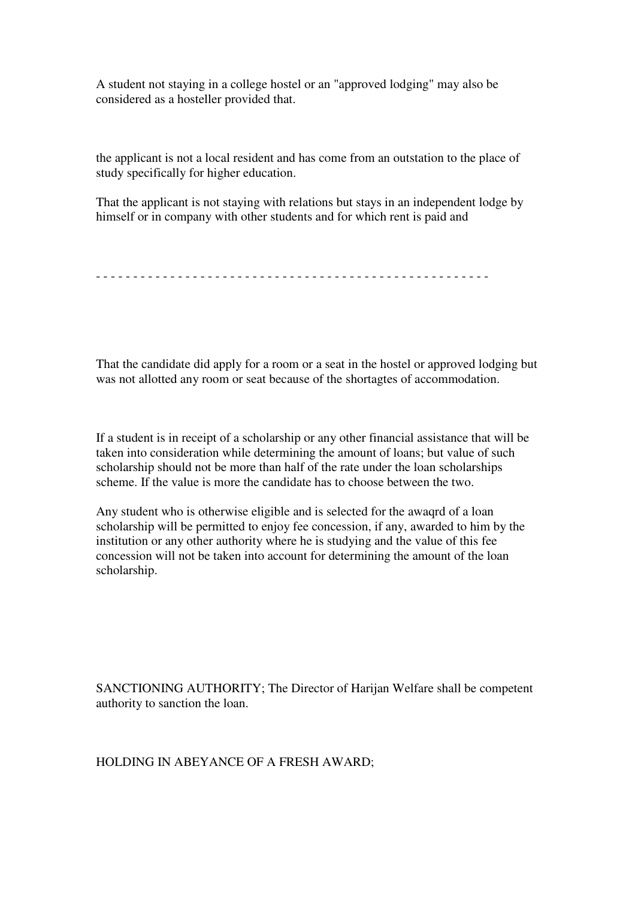A student not staying in a college hostel or an "approved lodging" may also be considered as a hosteller provided that.

the applicant is not a local resident and has come from an outstation to the place of study specifically for higher education.

That the applicant is not staying with relations but stays in an independent lodge by himself or in company with other students and for which rent is paid and

```
- - - - - - - - - - - - - - - - - - - - - - - - - - - - - - - - - - - - - - - - - - - - - - - - - - - - -
```
That the candidate did apply for a room or a seat in the hostel or approved lodging but was not allotted any room or seat because of the shortagtes of accommodation.

If a student is in receipt of a scholarship or any other financial assistance that will be taken into consideration while determining the amount of loans; but value of such scholarship should not be more than half of the rate under the loan scholarships scheme. If the value is more the candidate has to choose between the two.

Any student who is otherwise eligible and is selected for the awaqrd of a loan scholarship will be permitted to enjoy fee concession, if any, awarded to him by the institution or any other authority where he is studying and the value of this fee concession will not be taken into account for determining the amount of the loan scholarship.

SANCTIONING AUTHORITY; The Director of Harijan Welfare shall be competent authority to sanction the loan.

HOLDING IN ABEYANCE OF A FRESH AWARD;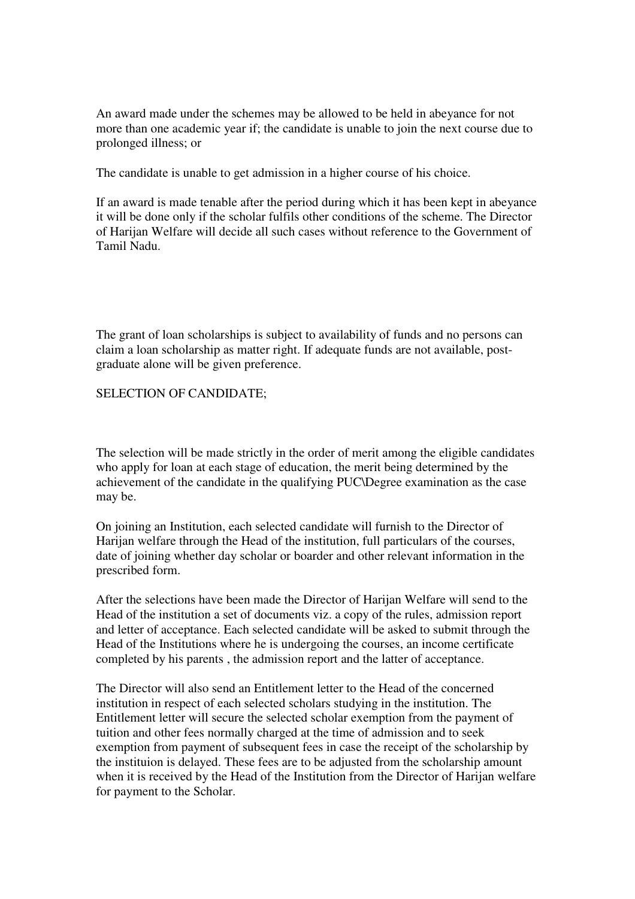An award made under the schemes may be allowed to be held in abeyance for not more than one academic year if; the candidate is unable to join the next course due to prolonged illness; or

The candidate is unable to get admission in a higher course of his choice.

If an award is made tenable after the period during which it has been kept in abeyance it will be done only if the scholar fulfils other conditions of the scheme. The Director of Harijan Welfare will decide all such cases without reference to the Government of Tamil Nadu.

The grant of loan scholarships is subject to availability of funds and no persons can claim a loan scholarship as matter right. If adequate funds are not available, postgraduate alone will be given preference.

### SELECTION OF CANDIDATE;

The selection will be made strictly in the order of merit among the eligible candidates who apply for loan at each stage of education, the merit being determined by the achievement of the candidate in the qualifying PUC\Degree examination as the case may be.

On joining an Institution, each selected candidate will furnish to the Director of Harijan welfare through the Head of the institution, full particulars of the courses, date of joining whether day scholar or boarder and other relevant information in the prescribed form.

After the selections have been made the Director of Harijan Welfare will send to the Head of the institution a set of documents viz. a copy of the rules, admission report and letter of acceptance. Each selected candidate will be asked to submit through the Head of the Institutions where he is undergoing the courses, an income certificate completed by his parents , the admission report and the latter of acceptance.

The Director will also send an Entitlement letter to the Head of the concerned institution in respect of each selected scholars studying in the institution. The Entitlement letter will secure the selected scholar exemption from the payment of tuition and other fees normally charged at the time of admission and to seek exemption from payment of subsequent fees in case the receipt of the scholarship by the instituion is delayed. These fees are to be adjusted from the scholarship amount when it is received by the Head of the Institution from the Director of Harijan welfare for payment to the Scholar.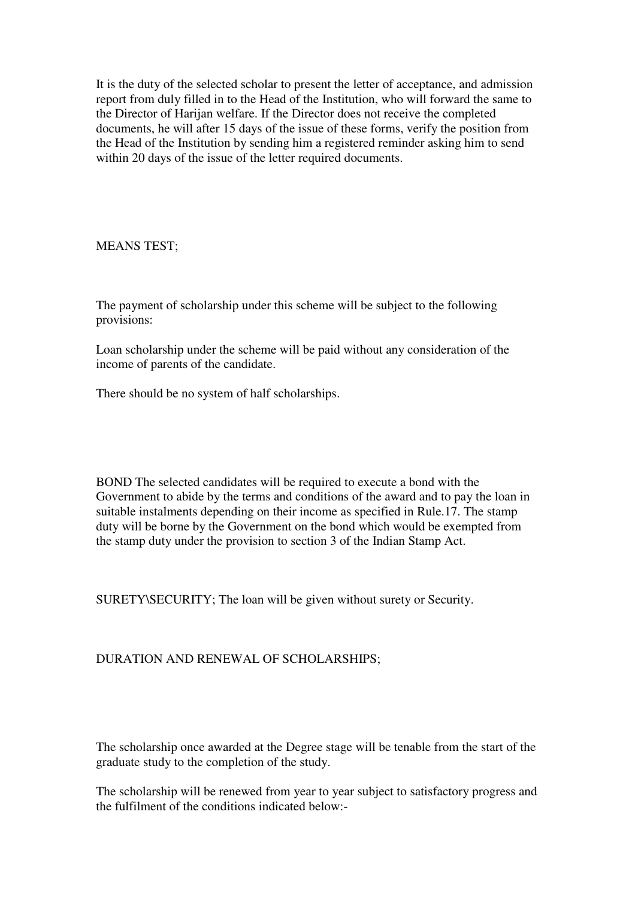It is the duty of the selected scholar to present the letter of acceptance, and admission report from duly filled in to the Head of the Institution, who will forward the same to the Director of Harijan welfare. If the Director does not receive the completed documents, he will after 15 days of the issue of these forms, verify the position from the Head of the Institution by sending him a registered reminder asking him to send within 20 days of the issue of the letter required documents.

MEANS TEST;

The payment of scholarship under this scheme will be subject to the following provisions:

Loan scholarship under the scheme will be paid without any consideration of the income of parents of the candidate.

There should be no system of half scholarships.

BOND The selected candidates will be required to execute a bond with the Government to abide by the terms and conditions of the award and to pay the loan in suitable instalments depending on their income as specified in Rule.17. The stamp duty will be borne by the Government on the bond which would be exempted from the stamp duty under the provision to section 3 of the Indian Stamp Act.

SURETY\SECURITY; The loan will be given without surety or Security.

# DURATION AND RENEWAL OF SCHOLARSHIPS;

The scholarship once awarded at the Degree stage will be tenable from the start of the graduate study to the completion of the study.

The scholarship will be renewed from year to year subject to satisfactory progress and the fulfilment of the conditions indicated below:-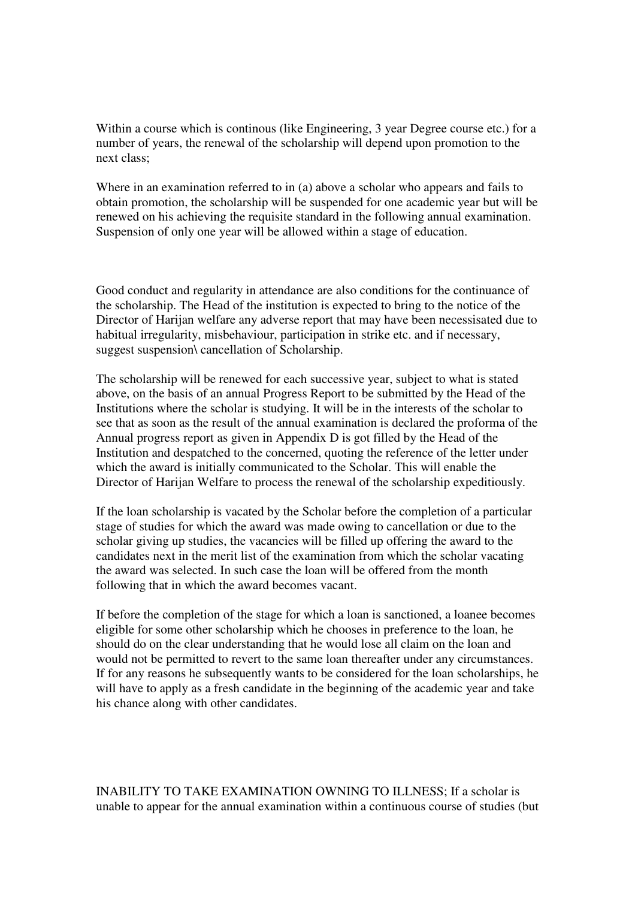Within a course which is continous (like Engineering, 3 year Degree course etc.) for a number of years, the renewal of the scholarship will depend upon promotion to the next class;

Where in an examination referred to in (a) above a scholar who appears and fails to obtain promotion, the scholarship will be suspended for one academic year but will be renewed on his achieving the requisite standard in the following annual examination. Suspension of only one year will be allowed within a stage of education.

Good conduct and regularity in attendance are also conditions for the continuance of the scholarship. The Head of the institution is expected to bring to the notice of the Director of Harijan welfare any adverse report that may have been necessisated due to habitual irregularity, misbehaviour, participation in strike etc. and if necessary, suggest suspension\ cancellation of Scholarship.

The scholarship will be renewed for each successive year, subject to what is stated above, on the basis of an annual Progress Report to be submitted by the Head of the Institutions where the scholar is studying. It will be in the interests of the scholar to see that as soon as the result of the annual examination is declared the proforma of the Annual progress report as given in Appendix D is got filled by the Head of the Institution and despatched to the concerned, quoting the reference of the letter under which the award is initially communicated to the Scholar. This will enable the Director of Harijan Welfare to process the renewal of the scholarship expeditiously.

If the loan scholarship is vacated by the Scholar before the completion of a particular stage of studies for which the award was made owing to cancellation or due to the scholar giving up studies, the vacancies will be filled up offering the award to the candidates next in the merit list of the examination from which the scholar vacating the award was selected. In such case the loan will be offered from the month following that in which the award becomes vacant.

If before the completion of the stage for which a loan is sanctioned, a loanee becomes eligible for some other scholarship which he chooses in preference to the loan, he should do on the clear understanding that he would lose all claim on the loan and would not be permitted to revert to the same loan thereafter under any circumstances. If for any reasons he subsequently wants to be considered for the loan scholarships, he will have to apply as a fresh candidate in the beginning of the academic year and take his chance along with other candidates.

INABILITY TO TAKE EXAMINATION OWNING TO ILLNESS; If a scholar is unable to appear for the annual examination within a continuous course of studies (but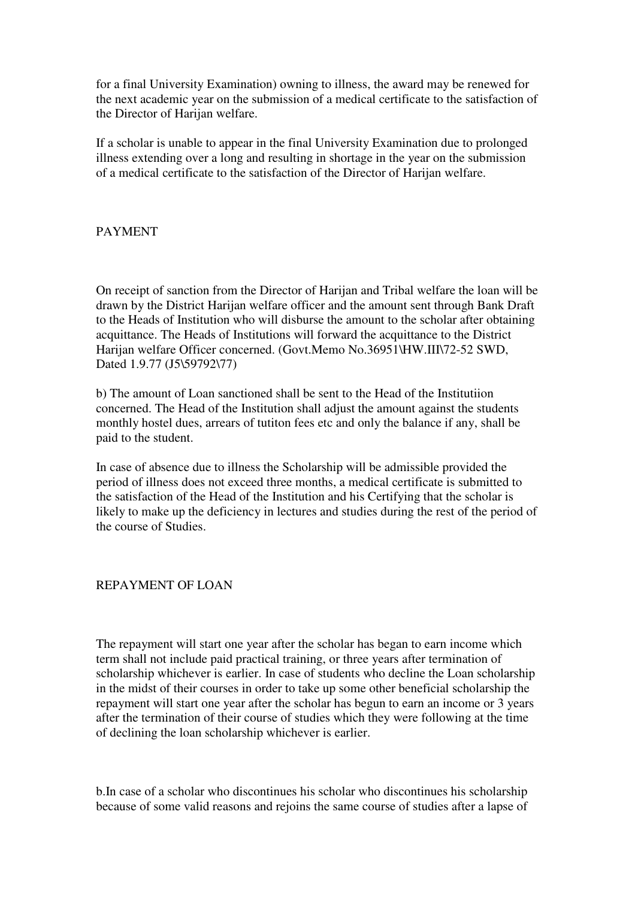for a final University Examination) owning to illness, the award may be renewed for the next academic year on the submission of a medical certificate to the satisfaction of the Director of Harijan welfare.

If a scholar is unable to appear in the final University Examination due to prolonged illness extending over a long and resulting in shortage in the year on the submission of a medical certificate to the satisfaction of the Director of Harijan welfare.

## PAYMENT

On receipt of sanction from the Director of Harijan and Tribal welfare the loan will be drawn by the District Harijan welfare officer and the amount sent through Bank Draft to the Heads of Institution who will disburse the amount to the scholar after obtaining acquittance. The Heads of Institutions will forward the acquittance to the District Harijan welfare Officer concerned. (Govt.Memo No.36951\HW.III\72-52 SWD, Dated 1.9.77 (J5\59792\77)

b) The amount of Loan sanctioned shall be sent to the Head of the Institutiion concerned. The Head of the Institution shall adjust the amount against the students monthly hostel dues, arrears of tutiton fees etc and only the balance if any, shall be paid to the student.

In case of absence due to illness the Scholarship will be admissible provided the period of illness does not exceed three months, a medical certificate is submitted to the satisfaction of the Head of the Institution and his Certifying that the scholar is likely to make up the deficiency in lectures and studies during the rest of the period of the course of Studies.

#### REPAYMENT OF LOAN

The repayment will start one year after the scholar has began to earn income which term shall not include paid practical training, or three years after termination of scholarship whichever is earlier. In case of students who decline the Loan scholarship in the midst of their courses in order to take up some other beneficial scholarship the repayment will start one year after the scholar has begun to earn an income or 3 years after the termination of their course of studies which they were following at the time of declining the loan scholarship whichever is earlier.

b.In case of a scholar who discontinues his scholar who discontinues his scholarship because of some valid reasons and rejoins the same course of studies after a lapse of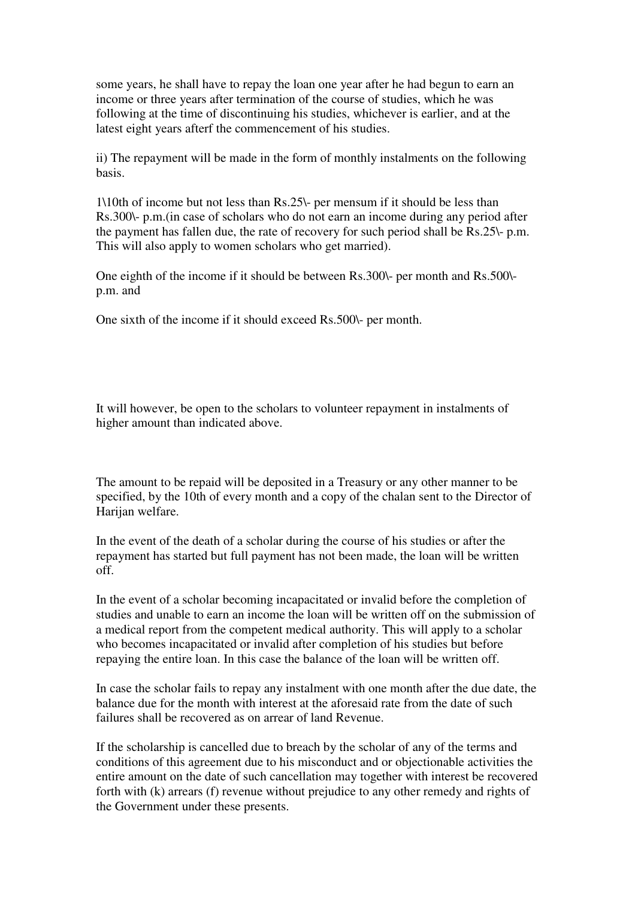some years, he shall have to repay the loan one year after he had begun to earn an income or three years after termination of the course of studies, which he was following at the time of discontinuing his studies, whichever is earlier, and at the latest eight years afterf the commencement of his studies.

ii) The repayment will be made in the form of monthly instalments on the following basis.

1\10th of income but not less than Rs.25\- per mensum if it should be less than Rs.300\- p.m.(in case of scholars who do not earn an income during any period after the payment has fallen due, the rate of recovery for such period shall be Rs.25\- p.m. This will also apply to women scholars who get married).

One eighth of the income if it should be between Rs.300\- per month and Rs.500\ p.m. and

One sixth of the income if it should exceed Rs.500\- per month.

It will however, be open to the scholars to volunteer repayment in instalments of higher amount than indicated above.

The amount to be repaid will be deposited in a Treasury or any other manner to be specified, by the 10th of every month and a copy of the chalan sent to the Director of Harijan welfare.

In the event of the death of a scholar during the course of his studies or after the repayment has started but full payment has not been made, the loan will be written off.

In the event of a scholar becoming incapacitated or invalid before the completion of studies and unable to earn an income the loan will be written off on the submission of a medical report from the competent medical authority. This will apply to a scholar who becomes incapacitated or invalid after completion of his studies but before repaying the entire loan. In this case the balance of the loan will be written off.

In case the scholar fails to repay any instalment with one month after the due date, the balance due for the month with interest at the aforesaid rate from the date of such failures shall be recovered as on arrear of land Revenue.

If the scholarship is cancelled due to breach by the scholar of any of the terms and conditions of this agreement due to his misconduct and or objectionable activities the entire amount on the date of such cancellation may together with interest be recovered forth with (k) arrears (f) revenue without prejudice to any other remedy and rights of the Government under these presents.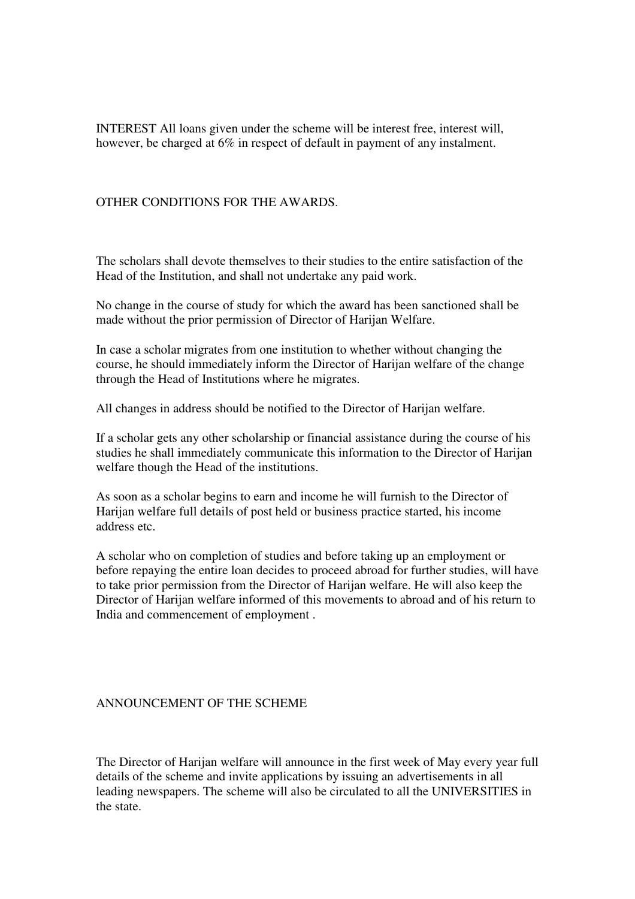INTEREST All loans given under the scheme will be interest free, interest will, however, be charged at 6% in respect of default in payment of any instalment.

### OTHER CONDITIONS FOR THE AWARDS.

The scholars shall devote themselves to their studies to the entire satisfaction of the Head of the Institution, and shall not undertake any paid work.

No change in the course of study for which the award has been sanctioned shall be made without the prior permission of Director of Harijan Welfare.

In case a scholar migrates from one institution to whether without changing the course, he should immediately inform the Director of Harijan welfare of the change through the Head of Institutions where he migrates.

All changes in address should be notified to the Director of Harijan welfare.

If a scholar gets any other scholarship or financial assistance during the course of his studies he shall immediately communicate this information to the Director of Harijan welfare though the Head of the institutions.

As soon as a scholar begins to earn and income he will furnish to the Director of Harijan welfare full details of post held or business practice started, his income address etc.

A scholar who on completion of studies and before taking up an employment or before repaying the entire loan decides to proceed abroad for further studies, will have to take prior permission from the Director of Harijan welfare. He will also keep the Director of Harijan welfare informed of this movements to abroad and of his return to India and commencement of employment .

#### ANNOUNCEMENT OF THE SCHEME

The Director of Harijan welfare will announce in the first week of May every year full details of the scheme and invite applications by issuing an advertisements in all leading newspapers. The scheme will also be circulated to all the UNIVERSITIES in the state.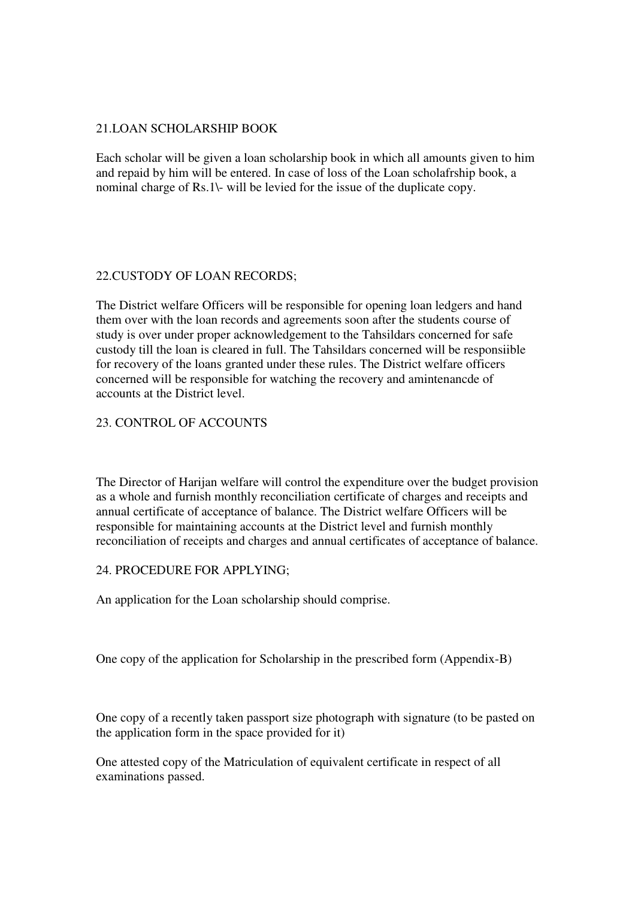## 21.LOAN SCHOLARSHIP BOOK

Each scholar will be given a loan scholarship book in which all amounts given to him and repaid by him will be entered. In case of loss of the Loan scholafrship book, a nominal charge of Rs.1\- will be levied for the issue of the duplicate copy.

## 22.CUSTODY OF LOAN RECORDS;

The District welfare Officers will be responsible for opening loan ledgers and hand them over with the loan records and agreements soon after the students course of study is over under proper acknowledgement to the Tahsildars concerned for safe custody till the loan is cleared in full. The Tahsildars concerned will be responsiible for recovery of the loans granted under these rules. The District welfare officers concerned will be responsible for watching the recovery and amintenancde of accounts at the District level.

## 23. CONTROL OF ACCOUNTS

The Director of Harijan welfare will control the expenditure over the budget provision as a whole and furnish monthly reconciliation certificate of charges and receipts and annual certificate of acceptance of balance. The District welfare Officers will be responsible for maintaining accounts at the District level and furnish monthly reconciliation of receipts and charges and annual certificates of acceptance of balance.

## 24. PROCEDURE FOR APPLYING;

An application for the Loan scholarship should comprise.

One copy of the application for Scholarship in the prescribed form (Appendix-B)

One copy of a recently taken passport size photograph with signature (to be pasted on the application form in the space provided for it)

One attested copy of the Matriculation of equivalent certificate in respect of all examinations passed.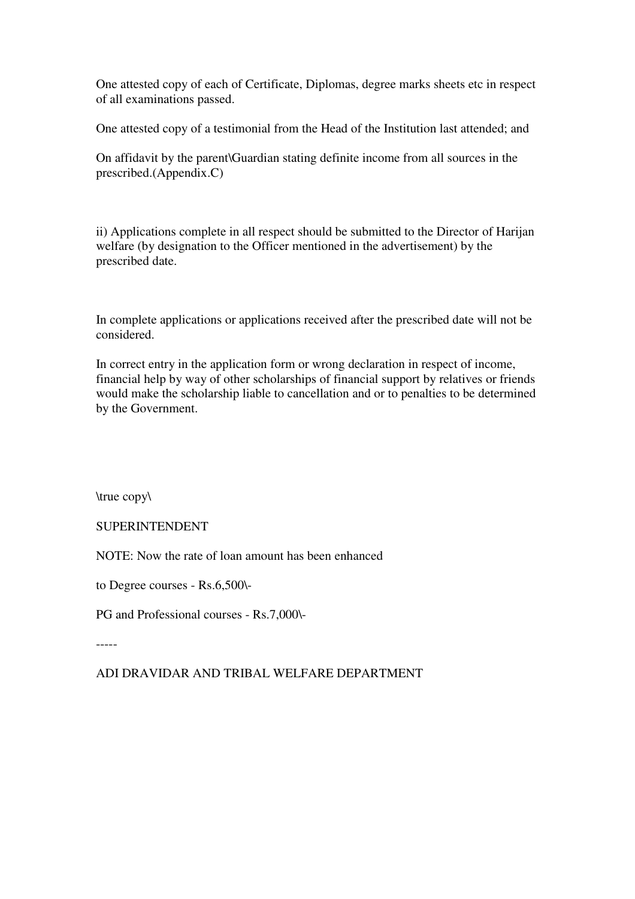One attested copy of each of Certificate, Diplomas, degree marks sheets etc in respect of all examinations passed.

One attested copy of a testimonial from the Head of the Institution last attended; and

On affidavit by the parent\Guardian stating definite income from all sources in the prescribed.(Appendix.C)

ii) Applications complete in all respect should be submitted to the Director of Harijan welfare (by designation to the Officer mentioned in the advertisement) by the prescribed date.

In complete applications or applications received after the prescribed date will not be considered.

In correct entry in the application form or wrong declaration in respect of income, financial help by way of other scholarships of financial support by relatives or friends would make the scholarship liable to cancellation and or to penalties to be determined by the Government.

\true copy\

SUPERINTENDENT

NOTE: Now the rate of loan amount has been enhanced

to Degree courses - Rs.6,500\-

PG and Professional courses - Rs.7,000\-

-----

ADI DRAVIDAR AND TRIBAL WELFARE DEPARTMENT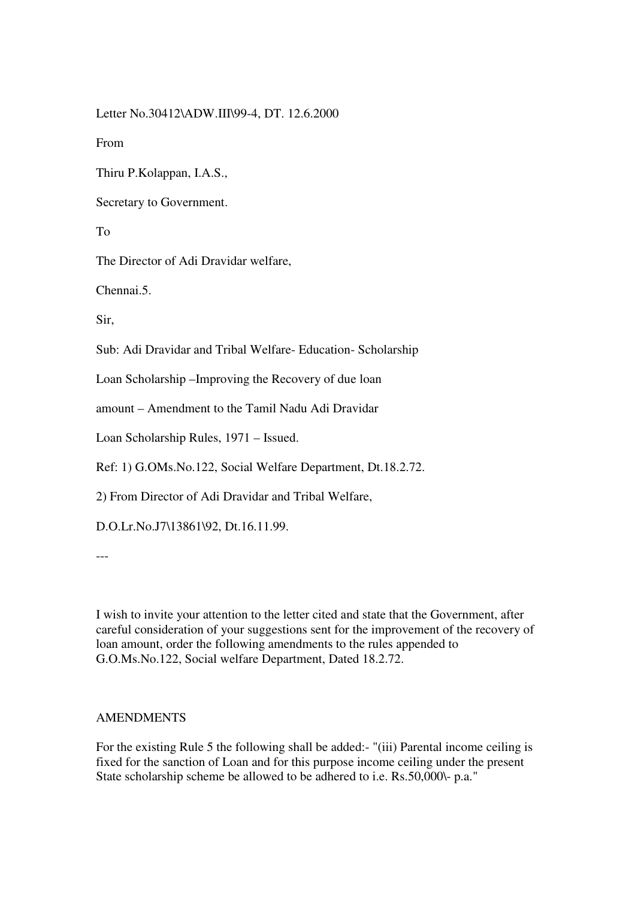Letter No.30412\ADW.III\99-4, DT. 12.6.2000

From

Thiru P.Kolappan, I.A.S.,

Secretary to Government.

To

The Director of Adi Dravidar welfare,

Chennai.5.

Sir,

Sub: Adi Dravidar and Tribal Welfare- Education- Scholarship

Loan Scholarship –Improving the Recovery of due loan

amount – Amendment to the Tamil Nadu Adi Dravidar

Loan Scholarship Rules, 1971 – Issued.

Ref: 1) G.OMs.No.122, Social Welfare Department, Dt.18.2.72.

2) From Director of Adi Dravidar and Tribal Welfare,

D.O.Lr.No.J7\13861\92, Dt.16.11.99.

---

I wish to invite your attention to the letter cited and state that the Government, after careful consideration of your suggestions sent for the improvement of the recovery of loan amount, order the following amendments to the rules appended to G.O.Ms.No.122, Social welfare Department, Dated 18.2.72.

## AMENDMENTS

For the existing Rule 5 the following shall be added:- "(iii) Parental income ceiling is fixed for the sanction of Loan and for this purpose income ceiling under the present State scholarship scheme be allowed to be adhered to i.e. Rs.50,000\- p.a."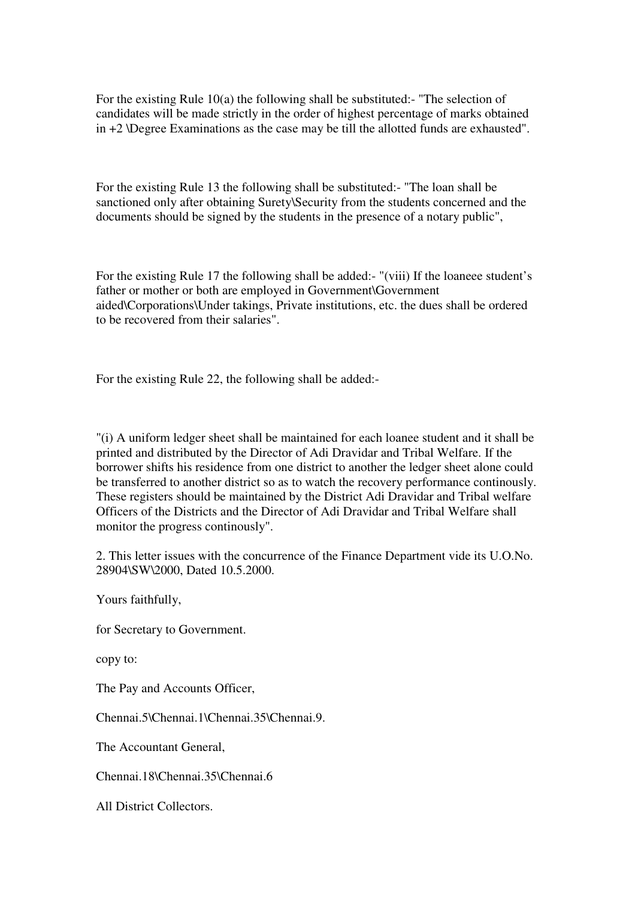For the existing Rule 10(a) the following shall be substituted:- "The selection of candidates will be made strictly in the order of highest percentage of marks obtained in +2 \Degree Examinations as the case may be till the allotted funds are exhausted".

For the existing Rule 13 the following shall be substituted:- "The loan shall be sanctioned only after obtaining Surety\Security from the students concerned and the documents should be signed by the students in the presence of a notary public",

For the existing Rule 17 the following shall be added:- "(viii) If the loaneee student's father or mother or both are employed in Government\Government aided\Corporations\Under takings, Private institutions, etc. the dues shall be ordered to be recovered from their salaries".

For the existing Rule 22, the following shall be added:-

"(i) A uniform ledger sheet shall be maintained for each loanee student and it shall be printed and distributed by the Director of Adi Dravidar and Tribal Welfare. If the borrower shifts his residence from one district to another the ledger sheet alone could be transferred to another district so as to watch the recovery performance continously. These registers should be maintained by the District Adi Dravidar and Tribal welfare Officers of the Districts and the Director of Adi Dravidar and Tribal Welfare shall monitor the progress continously".

2. This letter issues with the concurrence of the Finance Department vide its U.O.No. 28904\SW\2000, Dated 10.5.2000.

Yours faithfully,

for Secretary to Government.

copy to:

The Pay and Accounts Officer,

Chennai.5\Chennai.1\Chennai.35\Chennai.9.

The Accountant General,

Chennai.18\Chennai.35\Chennai.6

All District Collectors.